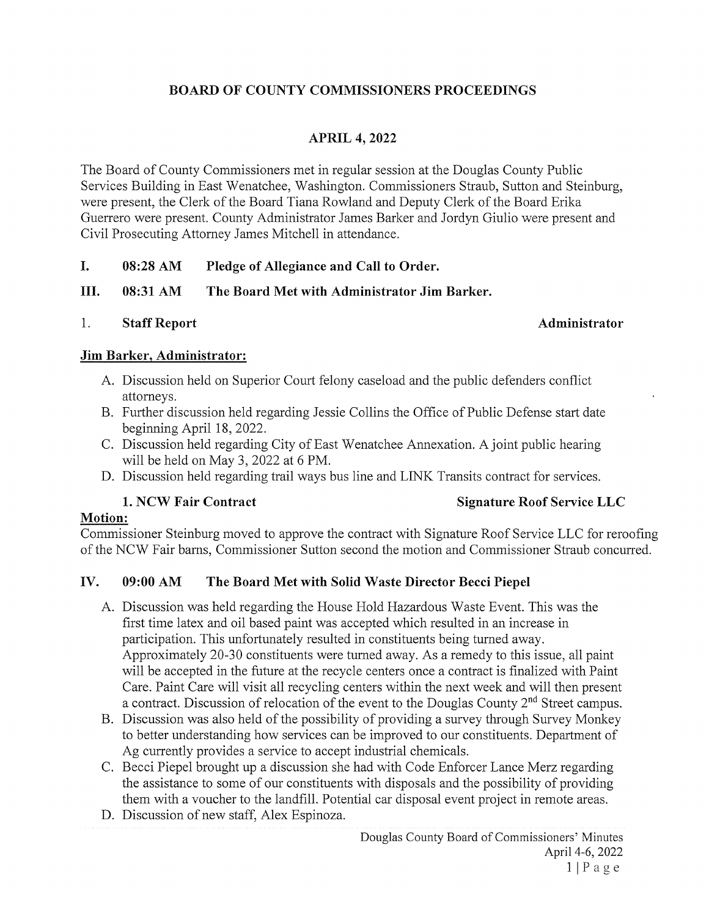# BOARD OF COUNTY COMMISSIONERS PROCEEDINGS

# APRIL 4, 2022

The Board of County Commissioners met in regular session at the Douglas County Public Services Building in East Wenatchee, Washington. Commissioners Straub, Sutton and Steinburg, were present, the Clerk of the Board Tiana Rowland and Deputy Clerk of the Board Erika Guerrero were present. County Administrator James Barker and Jordyn Giulio were present and Civil Prosecuting Attorney James Mitchell in attendance.

I. 08:28 AM Pledge of Allegiance and Call to Order.

III. 08:31 AM The Board Met with Administrator Jim Barker.

## 1. Staff Report **Administrator** Administrator

## Jim Barker, Administrator:

- A. Discussion held on Superior Court felony caseload and the public defenders conflict attorneys.
- B. Further discussion held regarding Jessie Collins the Office of Public Defense start date beginning April 18, 2022.
- C. Discussion held regarding City of East Wenatchee Annexation. A joint public hearing will be held on May 3, 2022 at <sup>6</sup> PM.
- D. Discussion held regarding trail ways bus line and LINK Transits contract for services.

# 1. NCW Fair Contract Signature Roof Service LLC

## Motion:

Commissioner Steinburg moved to approve the contract with Signature Roof Service LLC for reroofing of the NCW Fair barns, Commissioner Sutton second the motion and Commissioner Straub concurred.

# IV. 09:00 AM The Board Met with Solid Waste Director Becci Piepel

- A. Discussion was held regarding the House Hold Hazardous Waste Event. This was the first time latex and oil based paint was accepted which resulted in an increase in participation. This unfortunately resulted in constituents being turned away. Approximately 20-30 constituents were turned away. As a remedy to this issue, all paint will be accepted in the future at the recycle centers once <sup>a</sup> contract is finalized with Paint Care. Paint Care will visit all recycling centers within the next week and will then present a contract. Discussion of relocation of the event to the Douglas County 2<sup>nd</sup> Street campus.
- B. Discussion was also held of the possibility of providing <sup>a</sup> survey through Survey Monkey to better understanding how services can be improved to our constituents. Department of Ag currently provides a service to accept industrial chemicals.
- C. Becci Piepel brought up a discussion she had with Code Enforcer Lance Merz regarding the assistance to some of our constituents with disposals and the possibility of providing them with a voucher to the landfill. Potential car disposal event project in remote areas.
- D. Discussion of new staff, Alex Espinoza.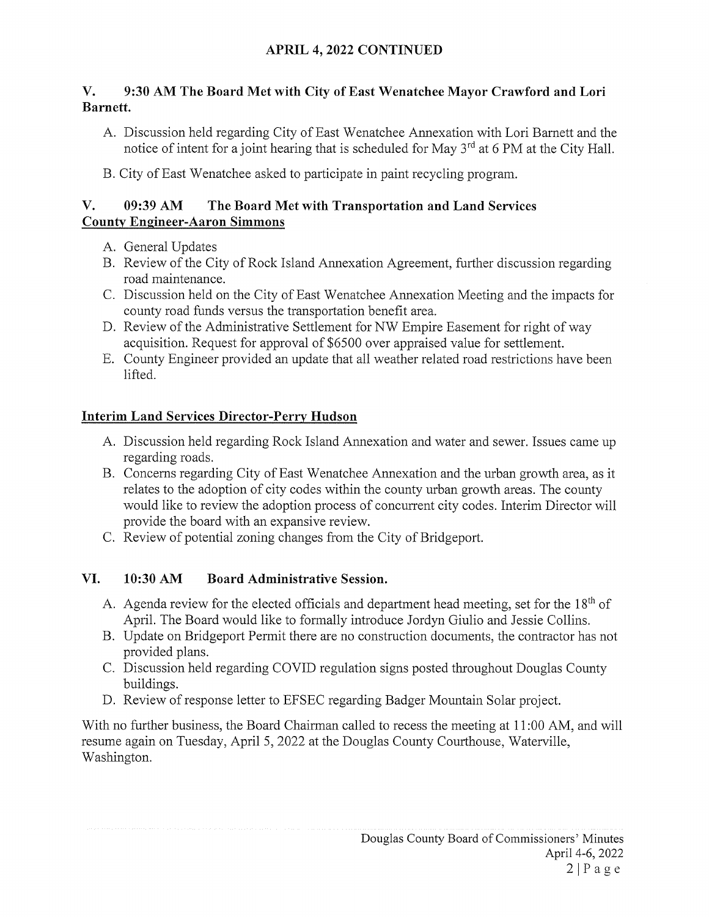## APRIL 4, 2022 CONTINUED

## V. 9:30 AM The Board Met with City of East Wenatchee Mayor Crawford and Lori Barnett.

- A. Discussion held regarding City of East Wenatchee Annexation with Lori Bamett and the notice of intent for a joint hearing that is scheduled for May  $3<sup>rd</sup>$  at 6 PM at the City Hall.
- B. City of East Wenatchee asked to participate in paint recycling program.

## V. 09:39 AM The Board Met with Transportation and Land Services County Engineer-Aaron Simmons

- A. General Updates
- B. Review of the City of Rock Island Annexation Agreement, further discussion regarding road maintenance.
- C. Discussion held on the City of East Wenatchee Annexation Meeting and the impacts for county road funds versus the transportation benefit area.
- D. Review of the Administrative Settlement for NW Empire Easement for right of way acquisition. Request for approval of \$6500 over appraised value for settlement.
- E. County Engineer provided an update that all weather related road restrictions have been lifted.

## Interim Land Services Director-Perry Hudson

- A. Discussion held regarding Rock Island Annexation and water and sewer. Issues came up regarding roads.
- B. Concerns regarding City of East Wenatchee Annexation and the urban growth area, as it relates to the adoption of city codes within the county urban growth areas. The county would like to review the adoption process of concurrent city codes. Interim Director will provide the board with an expansive review.
- C. Review of potential zoning changes from the City of Bridgeport.

# VI. 10:30 AM Board Administrative Session.

- A. Agenda review for the elected officials and department head meeting, set for the  $18<sup>th</sup>$  of April. The Board would like to formally introduce Jordyn Giulio and Jessie Collins.
- B. Update on Bridgeport Permit there are no construction documents, the contractor has not provided plans.
- C. Discussion held regarding COVID regulation signs posted throughout Douglas County buildings.
- D. Review of response letter to EFSEC regarding Badger Mountain Solar project.

With no further business, the Board Chairman called to recess the meeting at 11:00 AM, and will resume again on Tuesday, April 5, 2022 at the Douglas County Courthouse, Waterville, Washington.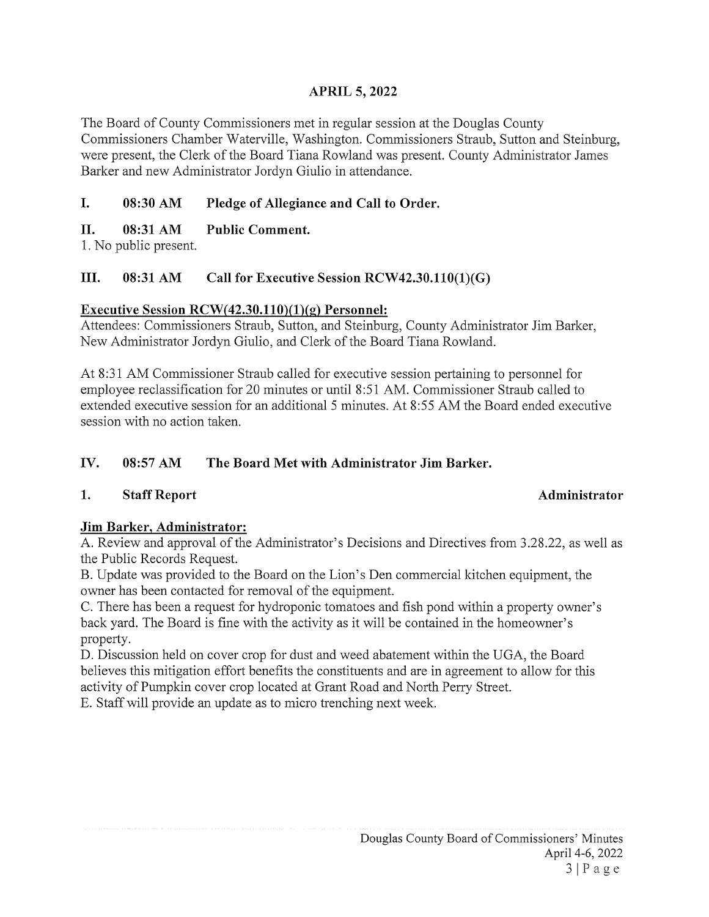## APRIL 5, 2022

The Board of County Commissioners met in regular session at the Douglas County Commissioners Chamber Waterville, Washington. Commissioners Straub, Sutton and Steinburg, were present, the Clerk of the Board Tiana Rowland was present. County Administrator James Barker and new Administrator Jordyn Giulio in attendance.

# I. 08:30 AM Pledge of Allegiance and Call to Order.

# II. 08:31 AM Public Comment.

1. No public present.

# III. 08:31 AM Call for Executive Session RCW42.30.110(1)(G)

# Executive Session  $RCW(42.30.110)(1)(g)$  Personnel:

Attendees: Commissioners Straub, Sutton, and Steinburg, County Administrator Jim Barker, New Administrator Jordyn Giulio, and Clerk of the Board Tiana Rowland.

At 8:31 AM Commissioner Straub called for executive session pertaining to personnel for employee reclassification for 20 minutes or until 8:51 AM. Commissioner Straub called to extended executive session for an additional <sup>5</sup> minutes. At 8:55 AM the Board ended executive session with no action taken.

# IV. 08:57 AM The Board Met with Administrator Jim Barker.

# 1. Staff Report Administrator

# Jim Barker, Administrator:

A. Review and approval of the Administrator's Decisions and Directives from 3.28.22, as well as the Public Records Request.

B. Update was provided to the Board on the Lion's Den commercial kitchen equipment, the owner has been contacted for removal of the equipment.

C. There has been a request for hydroponic tomatoes and fish pond within a property owner's back yard. The Board is fine with the activity as it will be contained in the homeowner's property.

D. Discussion held on cover crop for dust and weed abatement within the UGA, the Board believes this mitigation effort benefits the constituents and are in agreement to allow for this activity of Pumpkin cover crop located at Grant Road and North Perry Street. E. Staff will provide an update as to micro trenching next week.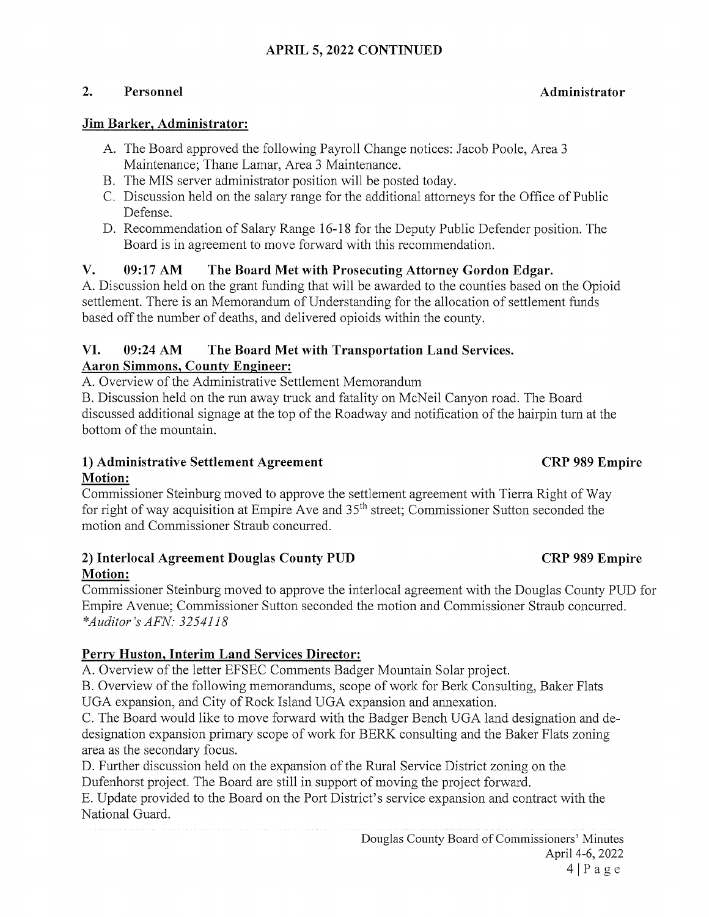## APRIL 5, 2022 CONTINUED

### 2. Personnel and administrator and Administrator and Administrator

### Jim Barker, Administrator:

- A. The Board approved the following Payroll Change notices: Jacob Poole, Area <sup>3</sup> Maintenance; Thane Lamar, Area 3 Maintenance.
- B. The MIS server administrator position will be posted today.
- C. Discussion held on the salary range for the additional attorneys for the Office of Public Defense.
- D. Recommendation of Salary Range 16-18 for the Deputy Public Defender position. The Board is in agreement to move forward with this recommendation.

## V. 09:17 AM The Board Met with Prosecuting Attorney Gordon Edgar.

A. Discussion held on the grant funding that will be awarded to the counties based on the Opioid settlement. There is an Memorandum of Understanding for the allocation of settlement funds based off the number of deaths, and delivered opioids within the county.

### VI. 09:24 AM The Board Met with Transportation Land Services. Aaron Simmons, County Engineer:

A. Overview of the Administrative Settlement Memorandum

B. Discussion held on the run away truck and fatality on McNeil Canyon road. The Board discussed additional signage at the top of the Roadway and notification of the hairpin turn at the bottom of the mountain.

## 1) Administrative Settlement Agreement CRP 989 Empire Motion:

Commissioner Steinburg moved to approve the settlement agreement with Tierra Right of Way for right of way acquisition at Empire Ave and  $35<sup>th</sup>$  street; Commissioner Sutton seconded the motion and Commissioner Straub concurred.

## 2) Interlocal Agreement Douglas County PUD CRP 989 Empire Motion:

Commissioner Steinburg moved to approve the interlocal agreement with the Douglas County PUD for Empire Avenue; Commissioner Sutton seconded the motion and Commissioner Straub concurred. \*Audjtor 's AFN: 3254118

# Perry Huston, Interim Land Services Director:

A. Overview of the letter EFSEC Comments Badger Mountain Solar project.

B. Overview of the following memorandums, scope of work for Berk Consulting, Baker Flats

UGA expansion, and City of Rock Island UGA expansion and annexation.

C. The Board would like to move forward with the Badger Bench UGA land designation and de designation expansion primary scope of work for BERK consulting and the Baker Flats zoning area as the secondary focus.

D. Further discussion held on the expansion of the Rural Service District zoning on the Dufenhorst project. The Board are still in support of moving the project forward.

E. Update provided to the Board on the Port District's service expansion and contract with the National Guard.

> Douglas County Board of Commissioners' Minutes April 4-6, 2022  $4|Page$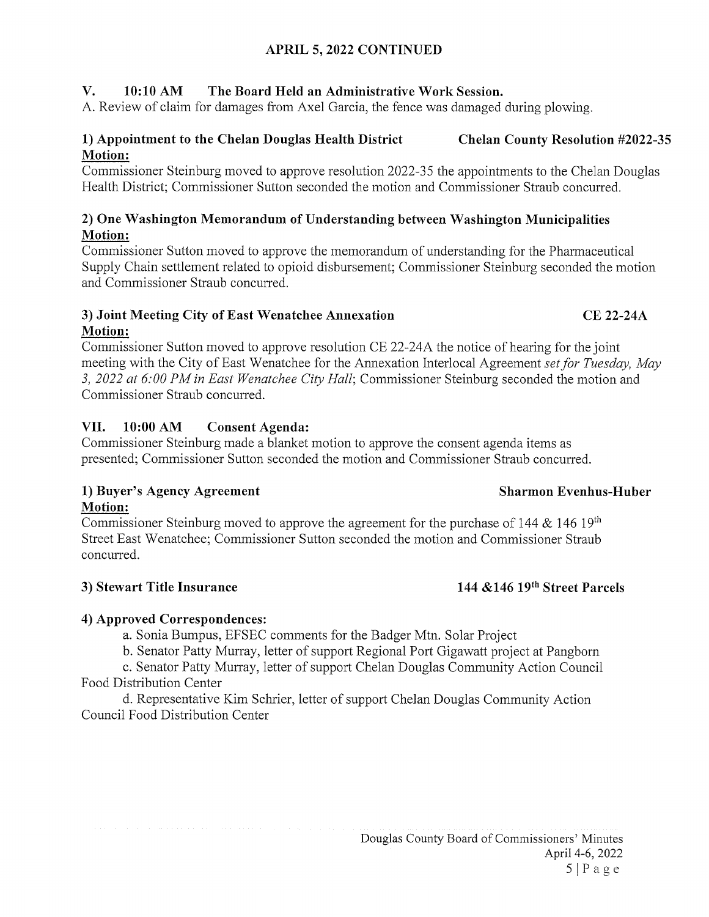# APRIL 5, 2022 CONTINUED

## V. 10:10 AM The Board Held an Administrative Work Session.

A. Review of claim for damages from Axel Garcia, the fence was damaged during plowing.

## 1) Appointment to the Chelan Douglas Health District Chelan County Resolution #2022-35 Motion:

Commissioner Steinburg moved to approve resolution 2022-35 the appointments to the Chelan Douglas Health District; Commissioner Sutton seconded the motion and Commissioner Straub concurred.

### 2) One Washington Memorandum of Understanding between Washington Municipalities Motion:

Commissioner Sutton moved to approve the memorandum of understanding for the Pharmaceutical Supply Chain settlement related to opioid disbursement; Commissioner Steinburg seconded the motion and Commissioner Straub concurred.

## 3) Joint Meeting City of East Wenatchee Annexation CE 22-24A Motion:

Commissioner Sutton moved to approve resolution CE 22-24A the notice of hearing for the joint meeting with the City of East Wenatchee for the Annexation Interlocal Agreement set for Tuesday, May 3, 2022 at 6:00 PM in East Wenatchee City Hall; Commissioner Steinburg seconded the motion and Commissioner Straub concurred.

# VII. 10:00 AM Consent Agenda:

Commissioner Steinburg made a blanket motion to approve the consent agenda items as presented; Commissioner Sutton seconded the motion and Commissioner Straub concurred.

## 1) Buyer's Agency Agreement Sharmon Evenhus-Huber Motion:

Commissioner Steinburg moved to approve the agreement for the purchase of 144  $\&$  146 19<sup>th</sup> Street East Wenatchee; Commissioner Sutton seconded the motion and Commissioner Straub concurred.

## 3) Stewart Title Insurance 144 &146 19<sup>th</sup> Street Parcels

# 4) Approved Correspondences:

a. Sonia Bumpus, EFSEC comments for the Badger Mtn. Solar Project

b. Senator Patty Murray, letter of support Regional Port Gigawatt project at Pangborn

c. Senator Patty Murray, letter of support Chelan Douglas Community Action Council Food Distribution Center

d. Representative Kim Schrier, letter of support Chelan Douglas Community Action Council Food Distribution Center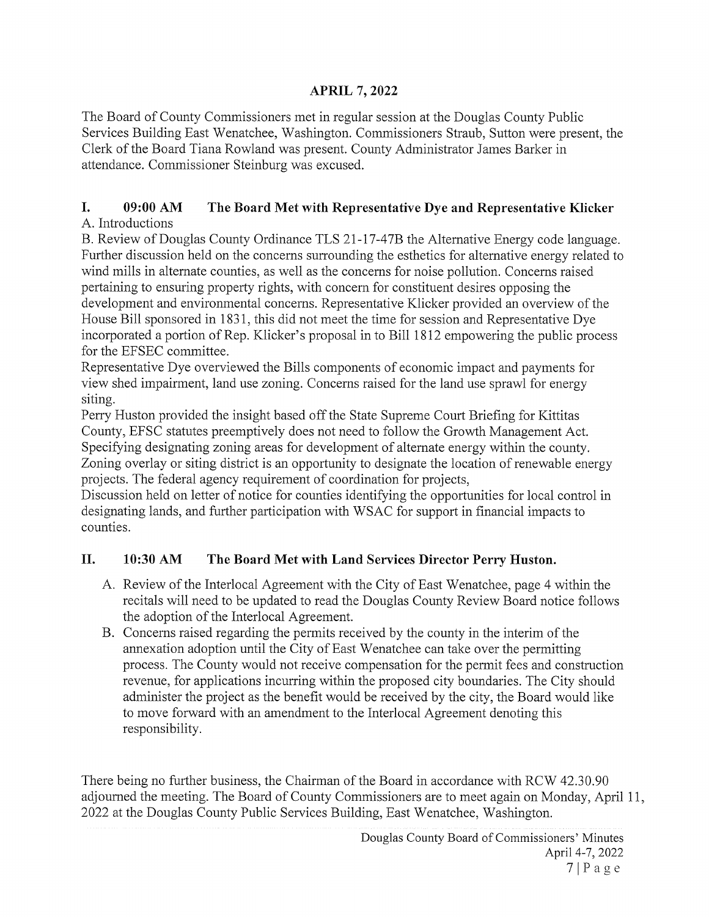# APRIL 7, 2022

The Board of County Commissioners met in regular session at the Douglas County Public Services Building East Wenatchee, Washington. Commissioners Straub, Sutton were present, the Clerk of the Board Tiana Rowland was present. County Administrator James Barker in attendance. Commissioner Steinburg was excused.

## I. 09:00 AM The Board Met with Representative Dye and Representative Klicker A. Introductions

B. Review of Douglas County Ordinance TLS 21-17-47B the Alternative Energy code language. Further discussion held on the concerns surrounding the esthetics for alternative energy related to wind mills in alternate counties, as well as the concerns for noise pollution. Concerns raised pertaining to ensuring property rights, with concern for constituent desires opposing the development and environmental concerns. Representative Klicker provided an overview of the House Bill sponsored in 1831, this did not meet the time for session and Representative Dye incorporated a portion of Rep. Klicker's proposal in to Bill 1812 empowering the public process for the EFSEC committee.

Representative Dye overviewed the Bills components of economic impact and payments for view shed impairment, land use zoning. Concerns raised for the land use sprawl for energy siting.

Perry Huston provided the insight based off the State Supreme Court Briefing for Kittitas County, EFSC statutes preemptively does not need to follow the Growth Management Act. Specifying designating zoning areas for development of alternate energy within the county. Zoning overlay or siting district is an opportunity to designate the location of renewable energy projects. The federal agency requirement of coordination for projects,

Discussion held on letter of notice for counties identifying the opportunities for local control in designating lands, and further participation with WSAC for support in financial impacts to counties.

# II. 10:30 AM The Board Met with Land Services Director Perry Huston.

- A. Review of the Interlocal Agreement with the City of East Wenatchee, page 4 within the recitals will need to be updated to read the Douglas County Review Board notice follows the adoption of the Interlocal Agreement.
- B. Concerns raised regarding the permits received by the county in the interim of the annexation adoption until the City of East Wenatchee can take over the permitting process. The County would not receive compensation for the permit fees and construction revenue, for applications incurring within the proposed city boundaries. The City should administer the project as the benefit would be received by the city, the Board would like to move forward with an amendment to the Interlocal Agreement denoting this responsibility.

There being no further business, the Chairman of the Board in accordance with RCW 42.30.90 adjourned the meeting. The Board of County Commissioners are to meet again on Monday, April 11, 2022 at the Douglas County Public Services Building, East Wenatchee, Washington.